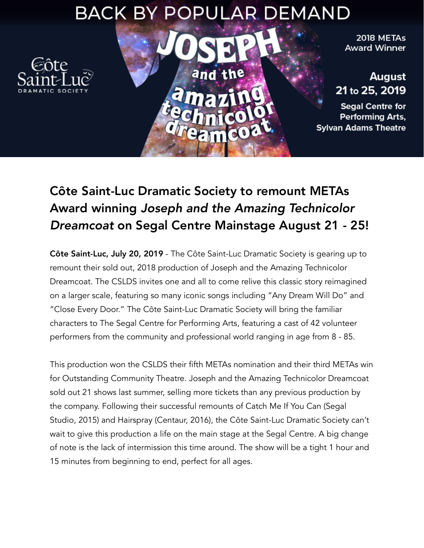## **BACK BY POPULAR DEMAND**

and the



2018 METAs **Award Winner** 

August 21 to 25, 2019

**Segal Centre for** Performing Arts, **Sylvan Adams Theatre** 

## Côte Saint-Luc Dramatic Society to remount METAs Award winning *Joseph and the Amazing Technicolor Dreamcoat* on Segal Centre Mainstage August 21 - 25!

Côte Saint-Luc, July 20, 2019 - The Côte Saint-Luc Dramatic Society is gearing up to remount their sold out, 2018 production of Joseph and the Amazing Technicolor Dreamcoat. The CSLDS invites one and all to come relive this classic story reimagined on a larger scale, featuring so many iconic songs including "Any Dream Will Do" and "Close Every Door." The Côte Saint-Luc Dramatic Society will bring the familiar characters to The Segal Centre for Performing Arts, featuring a cast of 42 volunteer performers from the community and professional world ranging in age from 8 - 85.

This production won the CSLDS their fifth METAs nomination and their third METAs win for Outstanding Community Theatre. Joseph and the Amazing Technicolor Dreamcoat sold out 21 shows last summer, selling more tickets than any previous production by the company. Following their successful remounts of Catch Me If You Can (Segal Studio, 2015) and Hairspray (Centaur, 2016), the Côte Saint-Luc Dramatic Society can't wait to give this production a life on the main stage at the Segal Centre. A big change of note is the lack of intermission this time around. The show will be a tight 1 hour and 15 minutes from beginning to end, perfect for all ages.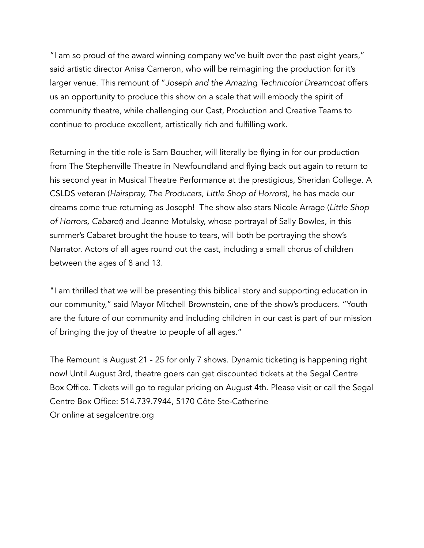"I am so proud of the award winning company we've built over the past eight years," said artistic director Anisa Cameron, who will be reimagining the production for it's larger venue. This remount of "*Joseph and the Amazing Technicolor Dreamcoat* offers us an opportunity to produce this show on a scale that will embody the spirit of community theatre, while challenging our Cast, Production and Creative Teams to continue to produce excellent, artistically rich and fulfilling work.

Returning in the title role is Sam Boucher, will literally be flying in for our production from The Stephenville Theatre in Newfoundland and flying back out again to return to his second year in Musical Theatre Performance at the prestigious, Sheridan College. A CSLDS veteran (*Hairspray, The Producers, Little Shop of Horrors*), he has made our dreams come true returning as Joseph! The show also stars Nicole Arrage (*Little Shop of Horrors, Cabaret*) and Jeanne Motulsky, whose portrayal of Sally Bowles, in this summer's Cabaret brought the house to tears, will both be portraying the show's Narrator. Actors of all ages round out the cast, including a small chorus of children between the ages of 8 and 13.

"I am thrilled that we will be presenting this biblical story and supporting education in our community," said Mayor Mitchell Brownstein, one of the show's producers. "Youth are the future of our community and including children in our cast is part of our mission of bringing the joy of theatre to people of all ages."

The Remount is August 21 - 25 for only 7 shows. Dynamic ticketing is happening right now! Until August 3rd, theatre goers can get discounted tickets at the Segal Centre Box Office. Tickets will go to regular pricing on August 4th. Please visit or call the Segal Centre Box Office: 514.739.7944, 5170 Côte Ste-Catherine Or online at segalcentre.org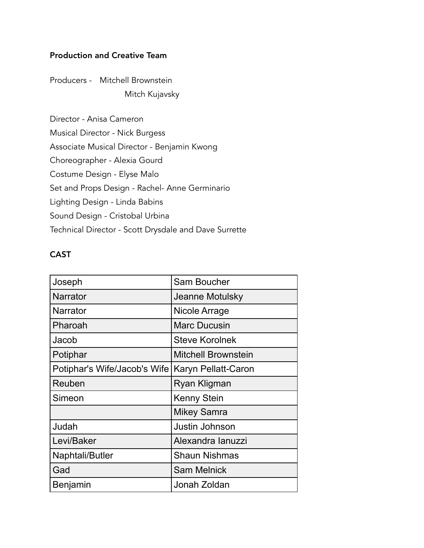## Production and Creative Team

Producers - Mitchell Brownstein Mitch Kujavsky

Director - Anisa Cameron Musical Director - Nick Burgess Associate Musical Director - Benjamin Kwong Choreographer - Alexia Gourd Costume Design - Elyse Malo Set and Props Design - Rachel- Anne Germinario Lighting Design - Linda Babins Sound Design - Cristobal Urbina Technical Director - Scott Drysdale and Dave Surrette

## CAST

| Joseph                       | <b>Sam Boucher</b>         |
|------------------------------|----------------------------|
| <b>Narrator</b>              | Jeanne Motulsky            |
| <b>Narrator</b>              | Nicole Arrage              |
| Pharoah                      | <b>Marc Ducusin</b>        |
| Jacob                        | <b>Steve Korolnek</b>      |
| Potiphar                     | <b>Mitchell Brownstein</b> |
| Potiphar's Wife/Jacob's Wife | Karyn Pellatt-Caron        |
| Reuben                       | Ryan Kligman               |
| Simeon                       | <b>Kenny Stein</b>         |
|                              | <b>Mikey Samra</b>         |
| Judah                        | Justin Johnson             |
| Levi/Baker                   | Alexandra lanuzzi          |
| Naphtali/Butler              | <b>Shaun Nishmas</b>       |
| Gad                          | <b>Sam Melnick</b>         |
| Benjamin                     | Jonah Zoldan               |